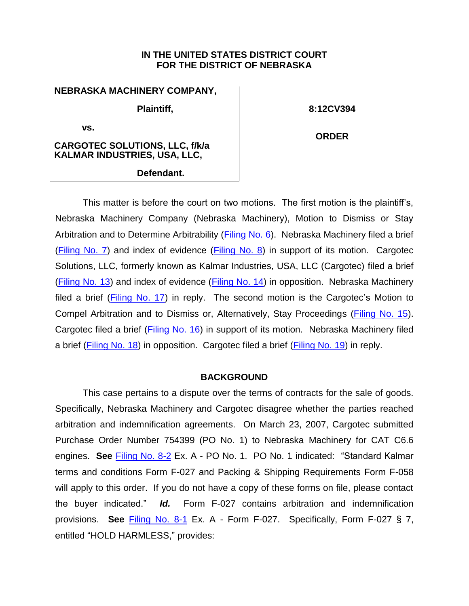### **IN THE UNITED STATES DISTRICT COURT FOR THE DISTRICT OF NEBRASKA**

# **NEBRASKA MACHINERY COMPANY, Plaintiff,**

**vs.** 

**8:12CV394**

**CARGOTEC SOLUTIONS, LLC, f/k/a KALMAR INDUSTRIES, USA, LLC,**

**ORDER**

**Defendant.**

This matter is before the court on two motions. The first motion is the plaintiff's, Nebraska Machinery Company (Nebraska Machinery), Motion to Dismiss or Stay Arbitration and to Determine Arbitrability [\(Filing No.](https://ecf.ned.uscourts.gov/doc1/11312667229) 6). Nebraska Machinery filed a brief [\(Filing No. 7\)](https://ecf.ned.uscourts.gov/doc1/11312667234) and index of evidence [\(Filing No. 8\)](https://ecf.ned.uscourts.gov/doc1/11302667237) in support of its motion. Cargotec Solutions, LLC, formerly known as Kalmar Industries, USA, LLC (Cargotec) filed a brief [\(Filing No. 13\)](https://ecf.ned.uscourts.gov/doc1/11312678768) and index of evidence [\(Filing No. 14\)](https://ecf.ned.uscourts.gov/doc1/11302678782) in opposition. Nebraska Machinery filed a brief [\(Filing No. 17\)](https://ecf.ned.uscourts.gov/doc1/11312681796) in reply. The second motion is the Cargotec's Motion to Compel Arbitration and to Dismiss or, Alternatively, Stay Proceedings [\(Filing No. 15\)](https://ecf.ned.uscourts.gov/doc1/11312678789). Cargotec filed a brief [\(Filing No. 16\)](https://ecf.ned.uscourts.gov/doc1/11312678792) in support of its motion. Nebraska Machinery filed a brief [\(Filing No. 18\)](https://ecf.ned.uscourts.gov/doc1/11312690170) in opposition. Cargotec filed a brief [\(Filing No. 19\)](https://ecf.ned.uscourts.gov/doc1/11312699190) in reply.

## **BACKGROUND**

This case pertains to a dispute over the terms of contracts for the sale of goods. Specifically, Nebraska Machinery and Cargotec disagree whether the parties reached arbitration and indemnification agreements. On March 23, 2007, Cargotec submitted Purchase Order Number 754399 (PO No. 1) to Nebraska Machinery for CAT C6.6 engines. **See** [Filing No. 8-2](https://ecf.ned.uscourts.gov/doc1/11312667239) Ex. A - PO No. 1. PO No. 1 indicated: "Standard Kalmar terms and conditions Form F-027 and Packing & Shipping Requirements Form F-058 will apply to this order. If you do not have a copy of these forms on file, please contact the buyer indicated." *Id.* Form F-027 contains arbitration and indemnification provisions. **See** [Filing No.](https://ecf.ned.uscourts.gov/doc1/11312667238) 8-1 Ex. A - Form F-027. Specifically, Form F-027 § 7, entitled "HOLD HARMLESS," provides: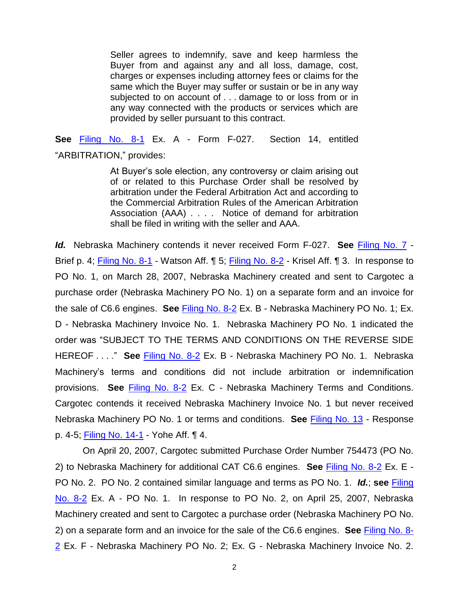Seller agrees to indemnify, save and keep harmless the Buyer from and against any and all loss, damage, cost, charges or expenses including attorney fees or claims for the same which the Buyer may suffer or sustain or be in any way subjected to on account of . . . damage to or loss from or in any way connected with the products or services which are provided by seller pursuant to this contract.

**See** [Filing No. 8-1](https://ecf.ned.uscourts.gov/doc1/11312667238) Ex. A - Form F-027. Section 14, entitled "ARBITRATION," provides:

> At Buyer's sole election, any controversy or claim arising out of or related to this Purchase Order shall be resolved by arbitration under the Federal Arbitration Act and according to the Commercial Arbitration Rules of the American Arbitration Association (AAA) . . . . Notice of demand for arbitration shall be filed in writing with the seller and AAA.

*Id.* Nebraska Machinery contends it never received Form F-027. **See** [Filing No. 7](https://ecf.ned.uscourts.gov/doc1/11312667234) - Brief p. 4; [Filing No. 8-1](https://ecf.ned.uscourts.gov/doc1/11312667238) - Watson Aff. ¶ 5; [Filing No. 8-2](https://ecf.ned.uscourts.gov/doc1/11312667239) - Krisel Aff. ¶ 3. In response to PO No. 1, on March 28, 2007, Nebraska Machinery created and sent to Cargotec a purchase order (Nebraska Machinery PO No. 1) on a separate form and an invoice for the sale of C6.6 engines. **See** [Filing No. 8-2](https://ecf.ned.uscourts.gov/doc1/11312667239) Ex. B - Nebraska Machinery PO No. 1; Ex. D - Nebraska Machinery Invoice No. 1. Nebraska Machinery PO No. 1 indicated the order was "SUBJECT TO THE TERMS AND CONDITIONS ON THE REVERSE SIDE HEREOF . . . ." **See** [Filing No. 8-2](https://ecf.ned.uscourts.gov/doc1/11312667239) Ex. B - Nebraska Machinery PO No. 1. Nebraska Machinery's terms and conditions did not include arbitration or indemnification provisions. **See** [Filing No. 8-2](https://ecf.ned.uscourts.gov/doc1/11312667239) Ex. C - Nebraska Machinery Terms and Conditions. Cargotec contends it received Nebraska Machinery Invoice No. 1 but never received Nebraska Machinery PO No. 1 or terms and conditions. **See** [Filing No. 13](https://ecf.ned.uscourts.gov/doc1/11312678768) - Response p. 4-5; [Filing No. 14-1](https://ecf.ned.uscourts.gov/doc1/11312678783) - Yohe Aff. ¶ 4.

On April 20, 2007, Cargotec submitted Purchase Order Number 754473 (PO No. 2) to Nebraska Machinery for additional CAT C6.6 engines. **See** [Filing No. 8-2](https://ecf.ned.uscourts.gov/doc1/11312667239) Ex. E - PO No. 2. PO No. 2 contained similar language and terms as PO No. 1. *Id.*; **see** [Filing](https://ecf.ned.uscourts.gov/doc1/11312667239)  [No. 8-2](https://ecf.ned.uscourts.gov/doc1/11312667239) Ex. A - PO No. 1. In response to PO No. 2, on April 25, 2007, Nebraska Machinery created and sent to Cargotec a purchase order (Nebraska Machinery PO No. 2) on a separate form and an invoice for the sale of the C6.6 engines. **See** [Filing No. 8-](https://ecf.ned.uscourts.gov/doc1/11312667239) [2](https://ecf.ned.uscourts.gov/doc1/11312667239) Ex. F - Nebraska Machinery PO No. 2; Ex. G - Nebraska Machinery Invoice No. 2.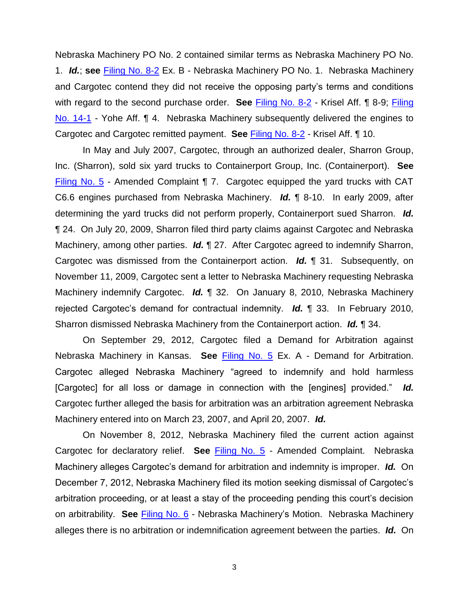Nebraska Machinery PO No. 2 contained similar terms as Nebraska Machinery PO No. 1. *Id.*; **see** [Filing No. 8-2](https://ecf.ned.uscourts.gov/doc1/11312667239) Ex. B - Nebraska Machinery PO No. 1. Nebraska Machinery and Cargotec contend they did not receive the opposing party's terms and conditions with regard to the second purchase order. **See** [Filing No. 8-2](https://ecf.ned.uscourts.gov/doc1/11312667239) - Krisel Aff. ¶ 8-9; Filing No. 14-1 - Yohe Aff. ¶ 4. Nebraska Machinery subsequently delivered the engines to Cargotec and Cargotec remitted payment. **See** [Filing No. 8-2](https://ecf.ned.uscourts.gov/doc1/11312667239) - Krisel Aff. ¶ 10.

In May and July 2007, Cargotec, through an authorized dealer, Sharron Group, Inc. (Sharron), sold six yard trucks to Containerport Group, Inc. (Containerport). **See**  [Filing No. 5](https://ecf.ned.uscourts.gov/doc1/11312667221) - Amended Complaint ¶ 7. Cargotec equipped the yard trucks with CAT C6.6 engines purchased from Nebraska Machinery. *Id.* ¶ 8-10. In early 2009, after determining the yard trucks did not perform properly, Containerport sued Sharron. *Id.* ¶ 24. On July 20, 2009, Sharron filed third party claims against Cargotec and Nebraska Machinery, among other parties. *Id.* ¶ 27. After Cargotec agreed to indemnify Sharron, Cargotec was dismissed from the Containerport action. *Id.* ¶ 31. Subsequently, on November 11, 2009, Cargotec sent a letter to Nebraska Machinery requesting Nebraska Machinery indemnify Cargotec. *Id.* ¶ 32. On January 8, 2010, Nebraska Machinery rejected Cargotec's demand for contractual indemnity. *Id.* ¶ 33. In February 2010, Sharron dismissed Nebraska Machinery from the Containerport action. *Id.* ¶ 34.

On September 29, 2012, Cargotec filed a Demand for Arbitration against Nebraska Machinery in Kansas. **See** [Filing No. 5](https://ecf.ned.uscourts.gov/doc1/11312667221) Ex. A - Demand for Arbitration. Cargotec alleged Nebraska Machinery "agreed to indemnify and hold harmless [Cargotec] for all loss or damage in connection with the [engines] provided." *Id.* Cargotec further alleged the basis for arbitration was an arbitration agreement Nebraska Machinery entered into on March 23, 2007, and April 20, 2007. *Id.*

On November 8, 2012, Nebraska Machinery filed the current action against Cargotec for declaratory relief. **See** [Filing No. 5](https://ecf.ned.uscourts.gov/doc1/11312667221) - Amended Complaint. Nebraska Machinery alleges Cargotec's demand for arbitration and indemnity is improper. *Id.* On December 7, 2012, Nebraska Machinery filed its motion seeking dismissal of Cargotec's arbitration proceeding, or at least a stay of the proceeding pending this court's decision on arbitrability. **See** [Filing No. 6](https://ecf.ned.uscourts.gov/doc1/11312667229) - Nebraska Machinery's Motion. Nebraska Machinery alleges there is no arbitration or indemnification agreement between the parties. *Id.* On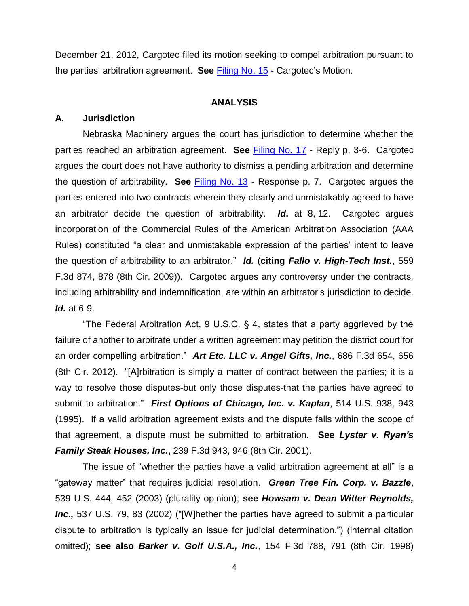December 21, 2012, Cargotec filed its motion seeking to compel arbitration pursuant to the parties' arbitration agreement. **See** [Filing No. 15](https://ecf.ned.uscourts.gov/doc1/11312678789) - Cargotec's Motion.

#### **ANALYSIS**

#### **A. Jurisdiction**

Nebraska Machinery argues the court has jurisdiction to determine whether the parties reached an arbitration agreement. **See** [Filing No. 17](https://ecf.ned.uscourts.gov/doc1/11312681796) - Reply p. 3-6. Cargotec argues the court does not have authority to dismiss a pending arbitration and determine the question of arbitrability. **See** [Filing No. 13](https://ecf.ned.uscourts.gov/doc1/11312678768) - Response p. 7. Cargotec argues the parties entered into two contracts wherein they clearly and unmistakably agreed to have an arbitrator decide the question of arbitrability. *Id***.** at 8, 12. Cargotec argues incorporation of the Commercial Rules of the American Arbitration Association (AAA Rules) constituted "a clear and unmistakable expression of the parties' intent to leave the question of arbitrability to an arbitrator." *Id.* (**citing** *Fallo v. High-Tech Inst.*, 559 F.3d 874, 878 (8th Cir. 2009)). Cargotec argues any controversy under the contracts, including arbitrability and indemnification, are within an arbitrator's jurisdiction to decide. *Id.* at 6-9.

"The Federal Arbitration Act, 9 U.S.C. § 4, states that a party aggrieved by the failure of another to arbitrate under a written agreement may petition the district court for an order compelling arbitration." *Art Etc. LLC v. Angel Gifts, Inc.*, 686 F.3d 654, 656 (8th Cir. 2012). "[A]rbitration is simply a matter of contract between the parties; it is a way to resolve those disputes-but only those disputes-that the parties have agreed to submit to arbitration." *First Options of Chicago, Inc. v. Kaplan*, 514 U.S. 938, 943 (1995). If a valid arbitration agreement exists and the dispute falls within the scope of that agreement, a dispute must be submitted to arbitration. **See** *Lyster v. Ryan's Family Steak Houses, Inc.*, 239 F.3d 943, 946 (8th Cir. 2001).

The issue of "whether the parties have a valid arbitration agreement at all" is a "gateway matter" that requires judicial resolution. *Green Tree Fin. Corp. v. Bazzle*, 539 U.S. 444, 452 (2003) (plurality opinion); **see** *Howsam v. Dean Witter Reynolds, Inc.,* 537 U.S. 79, 83 (2002) ("[W]hether the parties have agreed to submit a particular dispute to arbitration is typically an issue for judicial determination.") (internal citation omitted); **see also** *Barker v. Golf U.S.A., Inc.*, 154 F.3d 788, 791 (8th Cir. 1998)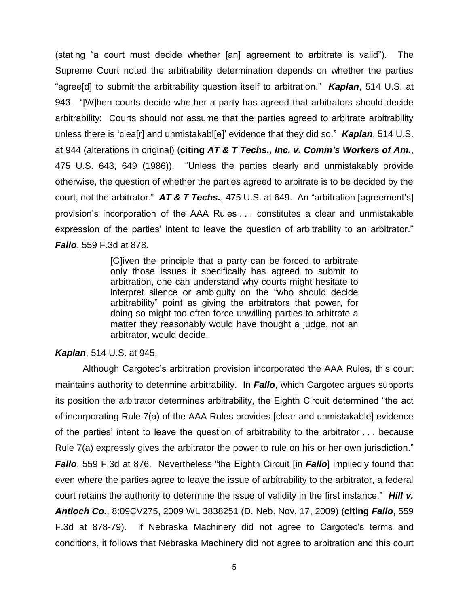(stating "a court must decide whether [an] agreement to arbitrate is valid"). The Supreme Court noted the arbitrability determination depends on whether the parties "agree[d] to submit the arbitrability question itself to arbitration." *Kaplan*, 514 U.S. at 943. "[W]hen courts decide whether a party has agreed that arbitrators should decide arbitrability: Courts should not assume that the parties agreed to arbitrate arbitrability unless there is 'clea[r] and unmistakabl[e]' evidence that they did so." *Kaplan*, 514 U.S. at 944 (alterations in original) (**citing** *AT & T Techs., Inc. v. Comm's Workers of Am.*, 475 U.S. 643, 649 (1986)). "Unless the parties clearly and unmistakably provide otherwise, the question of whether the parties agreed to arbitrate is to be decided by the court, not the arbitrator." *AT & T Techs.*, 475 U.S. at 649. An "arbitration [agreement's] provision's incorporation of the AAA Rules . . . constitutes a clear and unmistakable expression of the parties' intent to leave the question of arbitrability to an arbitrator." *Fallo*, 559 F.3d at 878.

> [G]iven the principle that a party can be forced to arbitrate only those issues it specifically has agreed to submit to arbitration, one can understand why courts might hesitate to interpret silence or ambiguity on the "who should decide arbitrability" point as giving the arbitrators that power, for doing so might too often force unwilling parties to arbitrate a matter they reasonably would have thought a judge, not an arbitrator, would decide.

#### *Kaplan*, 514 U.S. at 945.

Although Cargotec's arbitration provision incorporated the AAA Rules, this court maintains authority to determine arbitrability. In *Fallo*, which Cargotec argues supports its position the arbitrator determines arbitrability, the Eighth Circuit determined "the act of incorporating Rule 7(a) of the AAA Rules provides [clear and unmistakable] evidence of the parties' intent to leave the question of arbitrability to the arbitrator . . . because Rule 7(a) expressly gives the arbitrator the power to rule on his or her own jurisdiction." *Fallo*, 559 F.3d at 876. Nevertheless "the Eighth Circuit [in *Fallo*] impliedly found that even where the parties agree to leave the issue of arbitrability to the arbitrator, a federal court retains the authority to determine the issue of validity in the first instance." *Hill v. Antioch Co.*, 8:09CV275, 2009 WL 3838251 (D. Neb. Nov. 17, 2009) (**citing** *Fallo*, 559 F.3d at 878-79). If Nebraska Machinery did not agree to Cargotec's terms and conditions, it follows that Nebraska Machinery did not agree to arbitration and this court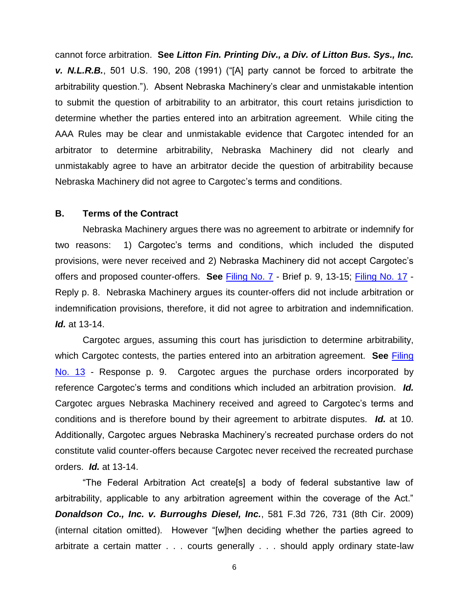cannot force arbitration. **See** *Litton Fin. Printing Div., a Div. of Litton Bus. Sys., Inc. v. N.L.R.B.*, 501 U.S. 190, 208 (1991) ("[A] party cannot be forced to arbitrate the arbitrability question."). Absent Nebraska Machinery's clear and unmistakable intention to submit the question of arbitrability to an arbitrator, this court retains jurisdiction to determine whether the parties entered into an arbitration agreement. While citing the AAA Rules may be clear and unmistakable evidence that Cargotec intended for an arbitrator to determine arbitrability, Nebraska Machinery did not clearly and unmistakably agree to have an arbitrator decide the question of arbitrability because Nebraska Machinery did not agree to Cargotec's terms and conditions.

#### **B. Terms of the Contract**

Nebraska Machinery argues there was no agreement to arbitrate or indemnify for two reasons: 1) Cargotec's terms and conditions, which included the disputed provisions, were never received and 2) Nebraska Machinery did not accept Cargotec's offers and proposed counter-offers. **See** [Filing No. 7](https://ecf.ned.uscourts.gov/doc1/11312667234) - Brief p. 9, 13-15; [Filing No. 17](https://ecf.ned.uscourts.gov/doc1/11312681796) - Reply p. 8. Nebraska Machinery argues its counter-offers did not include arbitration or indemnification provisions, therefore, it did not agree to arbitration and indemnification. *Id.* at 13-14.

Cargotec argues, assuming this court has jurisdiction to determine arbitrability, which Cargotec contests, the parties entered into an arbitration agreement. **See** [Filing](https://ecf.ned.uscourts.gov/doc1/11312678768)  [No. 13](https://ecf.ned.uscourts.gov/doc1/11312678768) - Response p. 9. Cargotec argues the purchase orders incorporated by reference Cargotec's terms and conditions which included an arbitration provision. *Id.* Cargotec argues Nebraska Machinery received and agreed to Cargotec's terms and conditions and is therefore bound by their agreement to arbitrate disputes. *Id.* at 10. Additionally, Cargotec argues Nebraska Machinery's recreated purchase orders do not constitute valid counter-offers because Cargotec never received the recreated purchase orders. *Id.* at 13-14.

"The Federal Arbitration Act create[s] a body of federal substantive law of arbitrability, applicable to any arbitration agreement within the coverage of the Act." *Donaldson Co., Inc. v. Burroughs Diesel, Inc.*, 581 F.3d 726, 731 (8th Cir. 2009) (internal citation omitted). However "[w]hen deciding whether the parties agreed to arbitrate a certain matter . . . courts generally . . . should apply ordinary state-law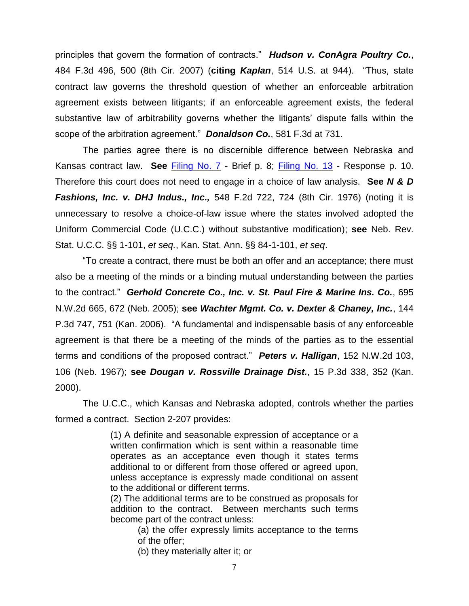principles that govern the formation of contracts." *Hudson v. ConAgra Poultry Co.*, 484 F.3d 496, 500 (8th Cir. 2007) (**citing** *Kaplan*, 514 U.S. at 944). "Thus, state contract law governs the threshold question of whether an enforceable arbitration agreement exists between litigants; if an enforceable agreement exists, the federal substantive law of arbitrability governs whether the litigants' dispute falls within the scope of the arbitration agreement." *Donaldson Co.*, 581 F.3d at 731.

The parties agree there is no discernible difference between Nebraska and Kansas contract law. **See** [Filing No. 7](https://ecf.ned.uscourts.gov/doc1/11312667234) - Brief p. 8; [Filing No. 13](https://ecf.ned.uscourts.gov/doc1/11312678768) - Response p. 10. Therefore this court does not need to engage in a choice of law analysis. **See** *N & D Fashions, Inc. v. DHJ Indus., Inc.,* 548 F.2d 722, 724 (8th Cir. 1976) (noting it is unnecessary to resolve a choice-of-law issue where the states involved adopted the Uniform Commercial Code (U.C.C.) without substantive modification); **see** Neb. Rev. Stat. U.C.C. §§ 1-101, *et seq.*, Kan. Stat. Ann. §§ 84-1-101, *et seq*.

"To create a contract, there must be both an offer and an acceptance; there must also be a meeting of the minds or a binding mutual understanding between the parties to the contract." *Gerhold Concrete Co., Inc. v. St. Paul Fire & Marine Ins. Co.*, 695 N.W.2d 665, 672 (Neb. 2005); **see** *Wachter Mgmt. Co. v. Dexter & Chaney, Inc.*, 144 P.3d 747, 751 (Kan. 2006). "A fundamental and indispensable basis of any enforceable agreement is that there be a meeting of the minds of the parties as to the essential terms and conditions of the proposed contract." *Peters v. Halligan*, 152 N.W.2d 103, 106 (Neb. 1967); **see** *Dougan v. Rossville Drainage Dist.*, 15 P.3d 338, 352 (Kan. 2000).

The U.C.C., which Kansas and Nebraska adopted, controls whether the parties formed a contract. Section 2-207 provides:

> (1) A definite and seasonable expression of acceptance or a written confirmation which is sent within a reasonable time operates as an acceptance even though it states terms additional to or different from those offered or agreed upon, unless acceptance is expressly made conditional on assent to the additional or different terms.

> (2) The additional terms are to be construed as proposals for addition to the contract. Between merchants such terms become part of the contract unless:

> > (a) the offer expressly limits acceptance to the terms of the offer;

(b) they materially alter it; or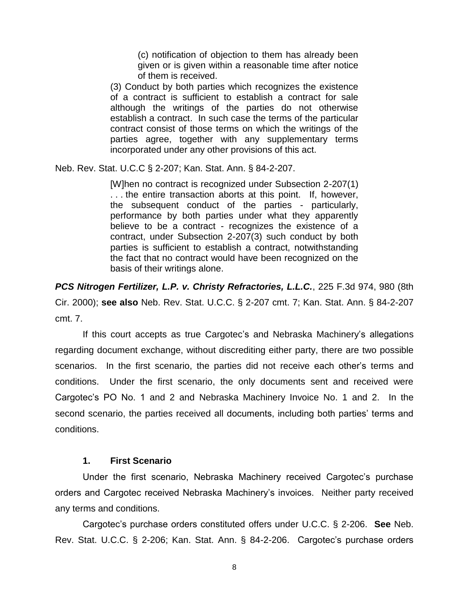(c) notification of objection to them has already been given or is given within a reasonable time after notice of them is received.

(3) Conduct by both parties which recognizes the existence of a contract is sufficient to establish a contract for sale although the writings of the parties do not otherwise establish a contract. In such case the terms of the particular contract consist of those terms on which the writings of the parties agree, together with any supplementary terms incorporated under any other provisions of this act.

Neb. Rev. Stat. U.C.C § 2-207; Kan. Stat. Ann. § 84-2-207.

[W]hen no contract is recognized under Subsection 2-207(1) . . . the entire transaction aborts at this point. If, however, the subsequent conduct of the parties - particularly, performance by both parties under what they apparently believe to be a contract - recognizes the existence of a contract, under Subsection 2-207(3) such conduct by both parties is sufficient to establish a contract, notwithstanding the fact that no contract would have been recognized on the basis of their writings alone.

*PCS Nitrogen Fertilizer, L.P. v. Christy Refractories, L.L.C.*, 225 F.3d 974, 980 (8th Cir. 2000); **see also** Neb. Rev. Stat. U.C.C. § 2-207 cmt. 7; Kan. Stat. Ann. § 84-2-207 cmt. 7.

If this court accepts as true Cargotec's and Nebraska Machinery's allegations regarding document exchange, without discrediting either party, there are two possible scenarios. In the first scenario, the parties did not receive each other's terms and conditions. Under the first scenario, the only documents sent and received were Cargotec's PO No. 1 and 2 and Nebraska Machinery Invoice No. 1 and 2. In the second scenario, the parties received all documents, including both parties' terms and conditions.

## **1. First Scenario**

Under the first scenario, Nebraska Machinery received Cargotec's purchase orders and Cargotec received Nebraska Machinery's invoices. Neither party received any terms and conditions.

Cargotec's purchase orders constituted offers under U.C.C. § 2-206. **See** Neb. Rev. Stat. U.C.C. § 2-206; Kan. Stat. Ann. § 84-2-206. Cargotec's purchase orders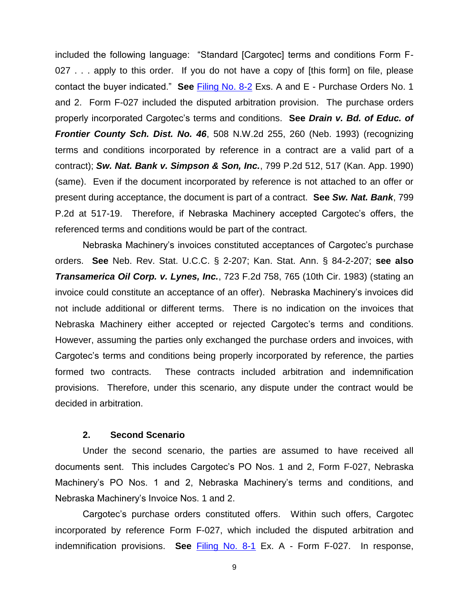included the following language: "Standard [Cargotec] terms and conditions Form F-027 . . . apply to this order. If you do not have a copy of [this form] on file, please contact the buyer indicated." **See** [Filing No. 8-2](https://ecf.ned.uscourts.gov/doc1/11312667239) Exs. A and E - Purchase Orders No. 1 and 2. Form F-027 included the disputed arbitration provision. The purchase orders properly incorporated Cargotec's terms and conditions. **See** *Drain v. Bd. of Educ. of Frontier County Sch. Dist. No. 46*, 508 N.W.2d 255, 260 (Neb. 1993) (recognizing terms and conditions incorporated by reference in a contract are a valid part of a contract); *Sw. Nat. Bank v. Simpson & Son, Inc.*, 799 P.2d 512, 517 (Kan. App. 1990) (same). Even if the document incorporated by reference is not attached to an offer or present during acceptance, the document is part of a contract. **See** *Sw. Nat. Bank*, 799 P.2d at 517-19. Therefore, if Nebraska Machinery accepted Cargotec's offers, the referenced terms and conditions would be part of the contract.

Nebraska Machinery's invoices constituted acceptances of Cargotec's purchase orders. **See** Neb. Rev. Stat. U.C.C. § 2-207; Kan. Stat. Ann. § 84-2-207; **see also** *Transamerica Oil Corp. v. Lynes, Inc.*, 723 F.2d 758, 765 (10th Cir. 1983) (stating an invoice could constitute an acceptance of an offer). Nebraska Machinery's invoices did not include additional or different terms. There is no indication on the invoices that Nebraska Machinery either accepted or rejected Cargotec's terms and conditions. However, assuming the parties only exchanged the purchase orders and invoices, with Cargotec's terms and conditions being properly incorporated by reference, the parties formed two contracts. These contracts included arbitration and indemnification provisions. Therefore, under this scenario, any dispute under the contract would be decided in arbitration.

#### **2. Second Scenario**

Under the second scenario, the parties are assumed to have received all documents sent. This includes Cargotec's PO Nos. 1 and 2, Form F-027, Nebraska Machinery's PO Nos. 1 and 2, Nebraska Machinery's terms and conditions, and Nebraska Machinery's Invoice Nos. 1 and 2.

Cargotec's purchase orders constituted offers. Within such offers, Cargotec incorporated by reference Form F-027, which included the disputed arbitration and indemnification provisions. **See** [Filing No. 8-1](https://ecf.ned.uscourts.gov/doc1/11312667238) Ex. A - Form F-027. In response,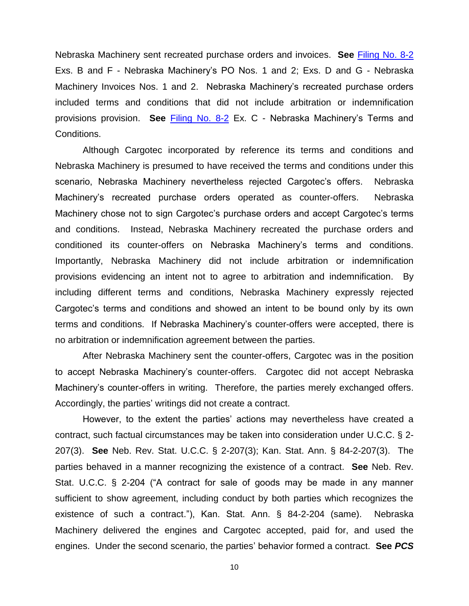Nebraska Machinery sent recreated purchase orders and invoices. **See** [Filing No. 8-2](https://ecf.ned.uscourts.gov/doc1/11312667239) Exs. B and F - Nebraska Machinery's PO Nos. 1 and 2; Exs. D and G - Nebraska Machinery Invoices Nos. 1 and 2. Nebraska Machinery's recreated purchase orders included terms and conditions that did not include arbitration or indemnification provisions provision. **See** [Filing No. 8-2](https://ecf.ned.uscourts.gov/doc1/11312667239) Ex. C - Nebraska Machinery's Terms and Conditions.

Although Cargotec incorporated by reference its terms and conditions and Nebraska Machinery is presumed to have received the terms and conditions under this scenario, Nebraska Machinery nevertheless rejected Cargotec's offers. Nebraska Machinery's recreated purchase orders operated as counter-offers. Nebraska Machinery chose not to sign Cargotec's purchase orders and accept Cargotec's terms and conditions. Instead, Nebraska Machinery recreated the purchase orders and conditioned its counter-offers on Nebraska Machinery's terms and conditions. Importantly, Nebraska Machinery did not include arbitration or indemnification provisions evidencing an intent not to agree to arbitration and indemnification. By including different terms and conditions, Nebraska Machinery expressly rejected Cargotec's terms and conditions and showed an intent to be bound only by its own terms and conditions. If Nebraska Machinery's counter-offers were accepted, there is no arbitration or indemnification agreement between the parties.

After Nebraska Machinery sent the counter-offers, Cargotec was in the position to accept Nebraska Machinery's counter-offers. Cargotec did not accept Nebraska Machinery's counter-offers in writing. Therefore, the parties merely exchanged offers. Accordingly, the parties' writings did not create a contract.

However, to the extent the parties' actions may nevertheless have created a contract, such factual circumstances may be taken into consideration under U.C.C. § 2- 207(3). **See** Neb. Rev. Stat. U.C.C. § 2-207(3); Kan. Stat. Ann. § 84-2-207(3). The parties behaved in a manner recognizing the existence of a contract. **See** Neb. Rev. Stat. U.C.C. § 2-204 ("A contract for sale of goods may be made in any manner sufficient to show agreement, including conduct by both parties which recognizes the existence of such a contract."), Kan. Stat. Ann. § 84-2-204 (same). Nebraska Machinery delivered the engines and Cargotec accepted, paid for, and used the engines. Under the second scenario, the parties' behavior formed a contract. **See** *PCS*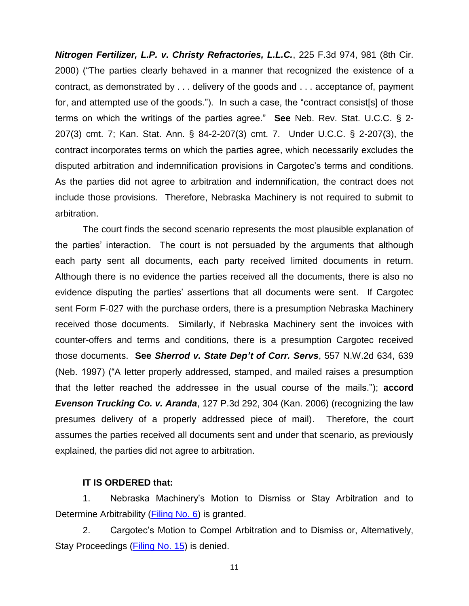*Nitrogen Fertilizer, L.P. v. Christy Refractories, L.L.C.*, 225 F.3d 974, 981 (8th Cir. 2000) ("The parties clearly behaved in a manner that recognized the existence of a contract, as demonstrated by . . . delivery of the goods and . . . acceptance of, payment for, and attempted use of the goods."). In such a case, the "contract consist[s] of those terms on which the writings of the parties agree." **See** Neb. Rev. Stat. U.C.C. § 2- 207(3) cmt. 7; Kan. Stat. Ann. § 84-2-207(3) cmt. 7. Under U.C.C. § 2-207(3), the contract incorporates terms on which the parties agree, which necessarily excludes the disputed arbitration and indemnification provisions in Cargotec's terms and conditions. As the parties did not agree to arbitration and indemnification, the contract does not include those provisions. Therefore, Nebraska Machinery is not required to submit to arbitration.

The court finds the second scenario represents the most plausible explanation of the parties' interaction. The court is not persuaded by the arguments that although each party sent all documents, each party received limited documents in return. Although there is no evidence the parties received all the documents, there is also no evidence disputing the parties' assertions that all documents were sent. If Cargotec sent Form F-027 with the purchase orders, there is a presumption Nebraska Machinery received those documents. Similarly, if Nebraska Machinery sent the invoices with counter-offers and terms and conditions, there is a presumption Cargotec received those documents. **See** *Sherrod v. State Dep't of Corr. Servs*, 557 N.W.2d 634, 639 (Neb. 1997) ("A letter properly addressed, stamped, and mailed raises a presumption that the letter reached the addressee in the usual course of the mails."); **accord** *Evenson Trucking Co. v. Aranda*, 127 P.3d 292, 304 (Kan. 2006) (recognizing the law presumes delivery of a properly addressed piece of mail). Therefore, the court assumes the parties received all documents sent and under that scenario, as previously explained, the parties did not agree to arbitration.

#### **IT IS ORDERED that:**

1. Nebraska Machinery's Motion to Dismiss or Stay Arbitration and to Determine Arbitrability [\(Filing No. 6\)](https://ecf.ned.uscourts.gov/doc1/11312667229) is granted.

2. Cargotec's Motion to Compel Arbitration and to Dismiss or, Alternatively, Stay Proceedings [\(Filing No. 15\)](https://ecf.ned.uscourts.gov/doc1/11312678789) is denied.